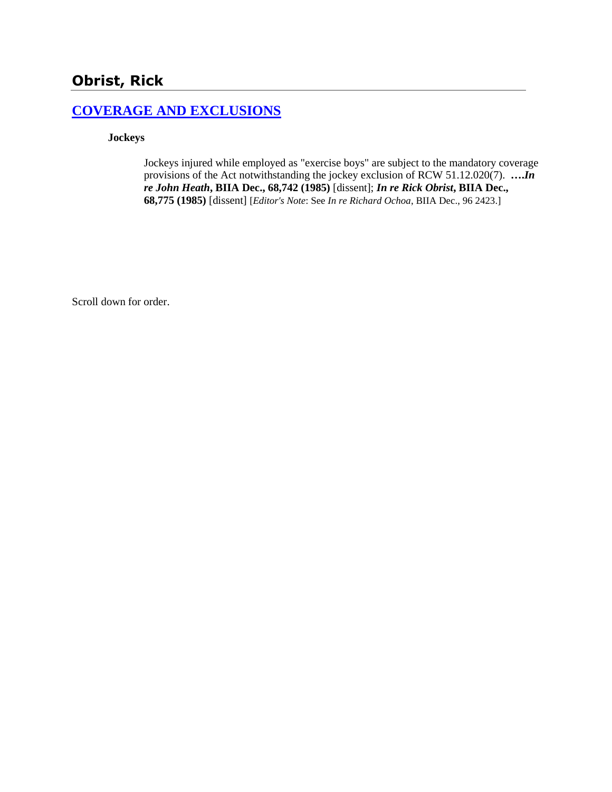# **Obrist, Rick**

#### **[COVERAGE AND EXCLUSIONS](http://www.biia.wa.gov/SDSubjectIndex.html#COVERAGE_AND_EXCLUSIONS)**

**Jockeys**

Jockeys injured while employed as "exercise boys" are subject to the mandatory coverage provisions of the Act notwithstanding the jockey exclusion of RCW 51.12.020(7). **….***In re John Heath***, BIIA Dec., 68,742 (1985)** [dissent]; *In re Rick Obrist***, BIIA Dec., 68,775 (1985)** [dissent] [*Editor's Note*: See *In re Richard Ochoa*, BIIA Dec., 96 2423.]

Scroll down for order.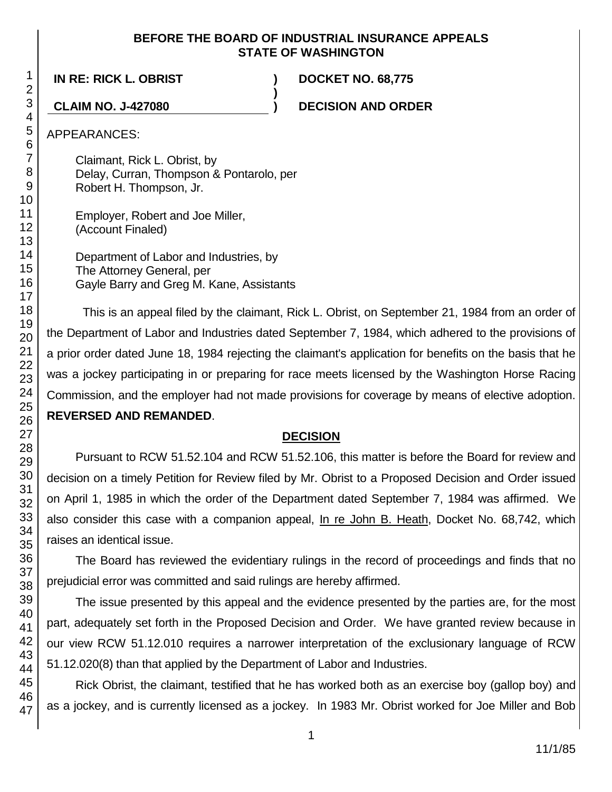#### **BEFORE THE BOARD OF INDUSTRIAL INSURANCE APPEALS STATE OF WASHINGTON**

**)**

**IN RE: RICK L. OBRIST ) DOCKET NO. 68,775**

**CLAIM NO. J-427080 ) DECISION AND ORDER**

APPEARANCES:

Claimant, Rick L. Obrist, by Delay, Curran, Thompson & Pontarolo, per Robert H. Thompson, Jr.

Employer, Robert and Joe Miller, (Account Finaled)

Department of Labor and Industries, by The Attorney General, per Gayle Barry and Greg M. Kane, Assistants

This is an appeal filed by the claimant, Rick L. Obrist, on September 21, 1984 from an order of the Department of Labor and Industries dated September 7, 1984, which adhered to the provisions of a prior order dated June 18, 1984 rejecting the claimant's application for benefits on the basis that he was a jockey participating in or preparing for race meets licensed by the Washington Horse Racing Commission, and the employer had not made provisions for coverage by means of elective adoption. **REVERSED AND REMANDED**.

# **DECISION**

Pursuant to RCW 51.52.104 and RCW 51.52.106, this matter is before the Board for review and decision on a timely Petition for Review filed by Mr. Obrist to a Proposed Decision and Order issued on April 1, 1985 in which the order of the Department dated September 7, 1984 was affirmed. We also consider this case with a companion appeal, In re John B. Heath, Docket No. 68,742, which raises an identical issue.

The Board has reviewed the evidentiary rulings in the record of proceedings and finds that no prejudicial error was committed and said rulings are hereby affirmed.

The issue presented by this appeal and the evidence presented by the parties are, for the most part, adequately set forth in the Proposed Decision and Order. We have granted review because in our view RCW 51.12.010 requires a narrower interpretation of the exclusionary language of RCW 51.12.020(8) than that applied by the Department of Labor and Industries.

Rick Obrist, the claimant, testified that he has worked both as an exercise boy (gallop boy) and as a jockey, and is currently licensed as a jockey. In 1983 Mr. Obrist worked for Joe Miller and Bob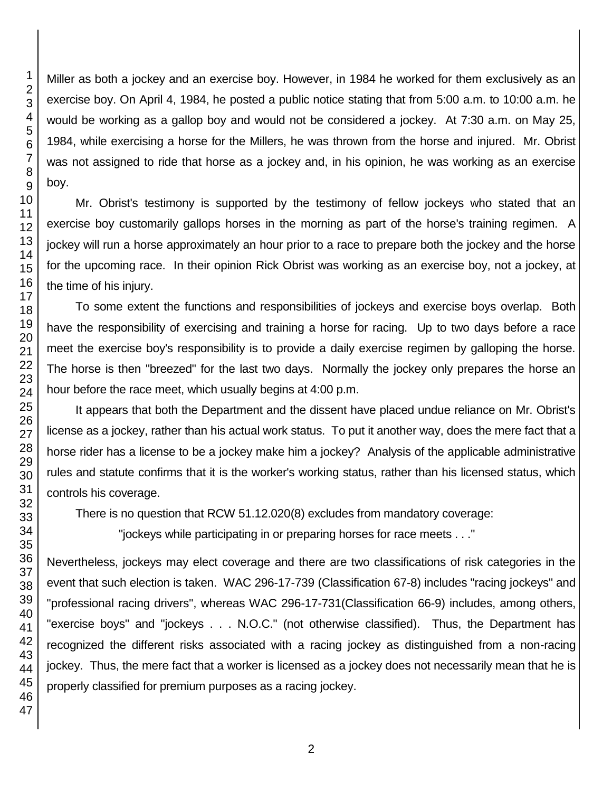Miller as both a jockey and an exercise boy. However, in 1984 he worked for them exclusively as an exercise boy. On April 4, 1984, he posted a public notice stating that from 5:00 a.m. to 10:00 a.m. he would be working as a gallop boy and would not be considered a jockey. At 7:30 a.m. on May 25, 1984, while exercising a horse for the Millers, he was thrown from the horse and injured. Mr. Obrist was not assigned to ride that horse as a jockey and, in his opinion, he was working as an exercise

Mr. Obrist's testimony is supported by the testimony of fellow jockeys who stated that an exercise boy customarily gallops horses in the morning as part of the horse's training regimen. A jockey will run a horse approximately an hour prior to a race to prepare both the jockey and the horse for the upcoming race. In their opinion Rick Obrist was working as an exercise boy, not a jockey, at the time of his injury.

To some extent the functions and responsibilities of jockeys and exercise boys overlap. Both have the responsibility of exercising and training a horse for racing. Up to two days before a race meet the exercise boy's responsibility is to provide a daily exercise regimen by galloping the horse. The horse is then "breezed" for the last two days. Normally the jockey only prepares the horse an hour before the race meet, which usually begins at 4:00 p.m.

It appears that both the Department and the dissent have placed undue reliance on Mr. Obrist's license as a jockey, rather than his actual work status. To put it another way, does the mere fact that a horse rider has a license to be a jockey make him a jockey? Analysis of the applicable administrative rules and statute confirms that it is the worker's working status, rather than his licensed status, which controls his coverage.

There is no question that RCW 51.12.020(8) excludes from mandatory coverage:

"jockeys while participating in or preparing horses for race meets . . ."

Nevertheless, jockeys may elect coverage and there are two classifications of risk categories in the event that such election is taken. WAC 296-17-739 (Classification 67-8) includes "racing jockeys" and "professional racing drivers", whereas WAC 296-17-731(Classification 66-9) includes, among others, "exercise boys" and "jockeys . . . N.O.C." (not otherwise classified). Thus, the Department has recognized the different risks associated with a racing jockey as distinguished from a non-racing jockey. Thus, the mere fact that a worker is licensed as a jockey does not necessarily mean that he is properly classified for premium purposes as a racing jockey.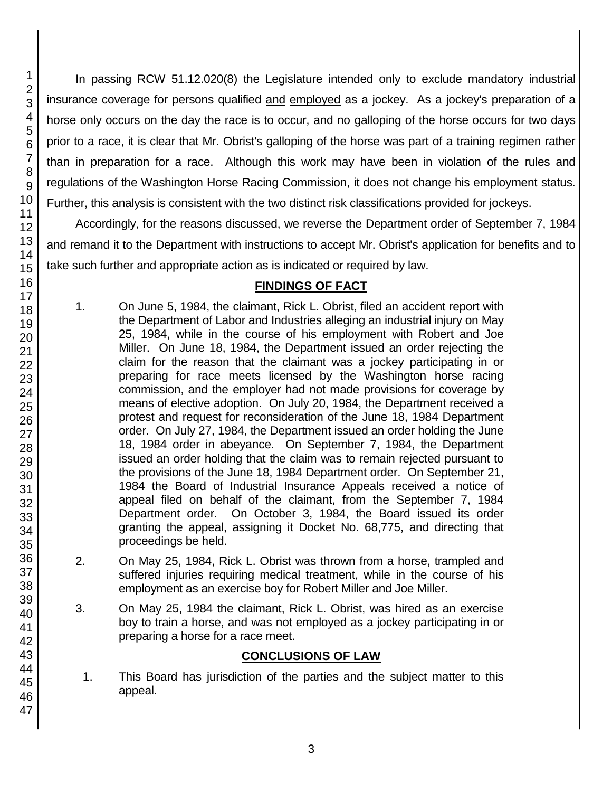In passing RCW 51.12.020(8) the Legislature intended only to exclude mandatory industrial insurance coverage for persons qualified and employed as a jockey. As a jockey's preparation of a horse only occurs on the day the race is to occur, and no galloping of the horse occurs for two days prior to a race, it is clear that Mr. Obrist's galloping of the horse was part of a training regimen rather than in preparation for a race. Although this work may have been in violation of the rules and regulations of the Washington Horse Racing Commission, it does not change his employment status. Further, this analysis is consistent with the two distinct risk classifications provided for jockeys.

Accordingly, for the reasons discussed, we reverse the Department order of September 7, 1984 and remand it to the Department with instructions to accept Mr. Obrist's application for benefits and to take such further and appropriate action as is indicated or required by law.

### **FINDINGS OF FACT**

- 1. On June 5, 1984, the claimant, Rick L. Obrist, filed an accident report with the Department of Labor and Industries alleging an industrial injury on May 25, 1984, while in the course of his employment with Robert and Joe Miller. On June 18, 1984, the Department issued an order rejecting the claim for the reason that the claimant was a jockey participating in or preparing for race meets licensed by the Washington horse racing commission, and the employer had not made provisions for coverage by means of elective adoption. On July 20, 1984, the Department received a protest and request for reconsideration of the June 18, 1984 Department order. On July 27, 1984, the Department issued an order holding the June 18, 1984 order in abeyance. On September 7, 1984, the Department issued an order holding that the claim was to remain rejected pursuant to the provisions of the June 18, 1984 Department order. On September 21, 1984 the Board of Industrial Insurance Appeals received a notice of appeal filed on behalf of the claimant, from the September 7, 1984 Department order. On October 3, 1984, the Board issued its order granting the appeal, assigning it Docket No. 68,775, and directing that proceedings be held.
- 2. On May 25, 1984, Rick L. Obrist was thrown from a horse, trampled and suffered injuries requiring medical treatment, while in the course of his employment as an exercise boy for Robert Miller and Joe Miller.
- 3. On May 25, 1984 the claimant, Rick L. Obrist, was hired as an exercise boy to train a horse, and was not employed as a jockey participating in or preparing a horse for a race meet.

# **CONCLUSIONS OF LAW**

1. This Board has jurisdiction of the parties and the subject matter to this appeal.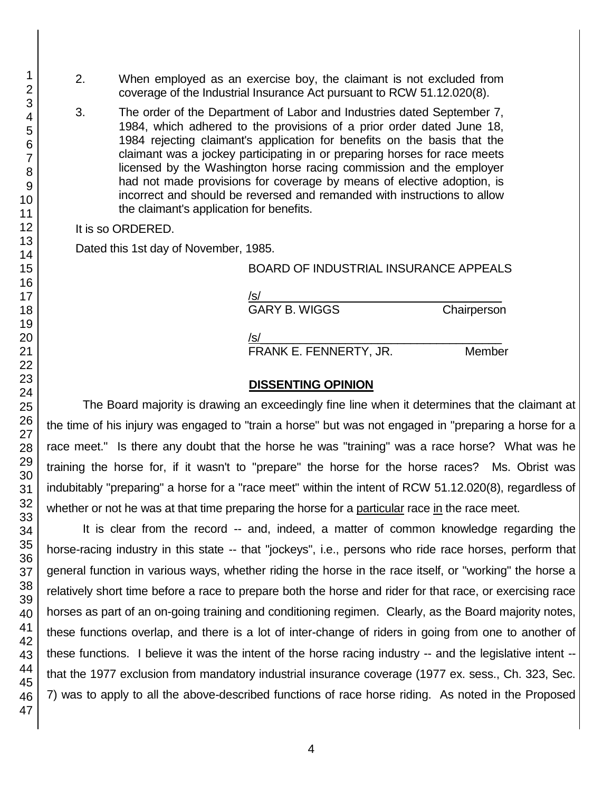- 2. When employed as an exercise boy, the claimant is not excluded from coverage of the Industrial Insurance Act pursuant to RCW 51.12.020(8).
- 3. The order of the Department of Labor and Industries dated September 7, 1984, which adhered to the provisions of a prior order dated June 18, 1984 rejecting claimant's application for benefits on the basis that the claimant was a jockey participating in or preparing horses for race meets licensed by the Washington horse racing commission and the employer had not made provisions for coverage by means of elective adoption, is incorrect and should be reversed and remanded with instructions to allow the claimant's application for benefits.

It is so ORDERED.

Dated this 1st day of November, 1985.

#### BOARD OF INDUSTRIAL INSURANCE APPEALS

| /s/                  |             |
|----------------------|-------------|
| <b>GARY B. WIGGS</b> | Chairperson |
| /s/                  |             |

FRANK E. FENNERTY, JR. Member

#### **DISSENTING OPINION**

The Board majority is drawing an exceedingly fine line when it determines that the claimant at the time of his injury was engaged to "train a horse" but was not engaged in "preparing a horse for a race meet." Is there any doubt that the horse he was "training" was a race horse? What was he training the horse for, if it wasn't to "prepare" the horse for the horse races? Ms. Obrist was indubitably "preparing" a horse for a "race meet" within the intent of RCW 51.12.020(8), regardless of whether or not he was at that time preparing the horse for a particular race in the race meet.

It is clear from the record -- and, indeed, a matter of common knowledge regarding the horse-racing industry in this state -- that "jockeys", i.e., persons who ride race horses, perform that general function in various ways, whether riding the horse in the race itself, or "working" the horse a relatively short time before a race to prepare both the horse and rider for that race, or exercising race horses as part of an on-going training and conditioning regimen. Clearly, as the Board majority notes, these functions overlap, and there is a lot of inter-change of riders in going from one to another of these functions. I believe it was the intent of the horse racing industry -- and the legislative intent - that the 1977 exclusion from mandatory industrial insurance coverage (1977 ex. sess., Ch. 323, Sec. 7) was to apply to all the above-described functions of race horse riding. As noted in the Proposed